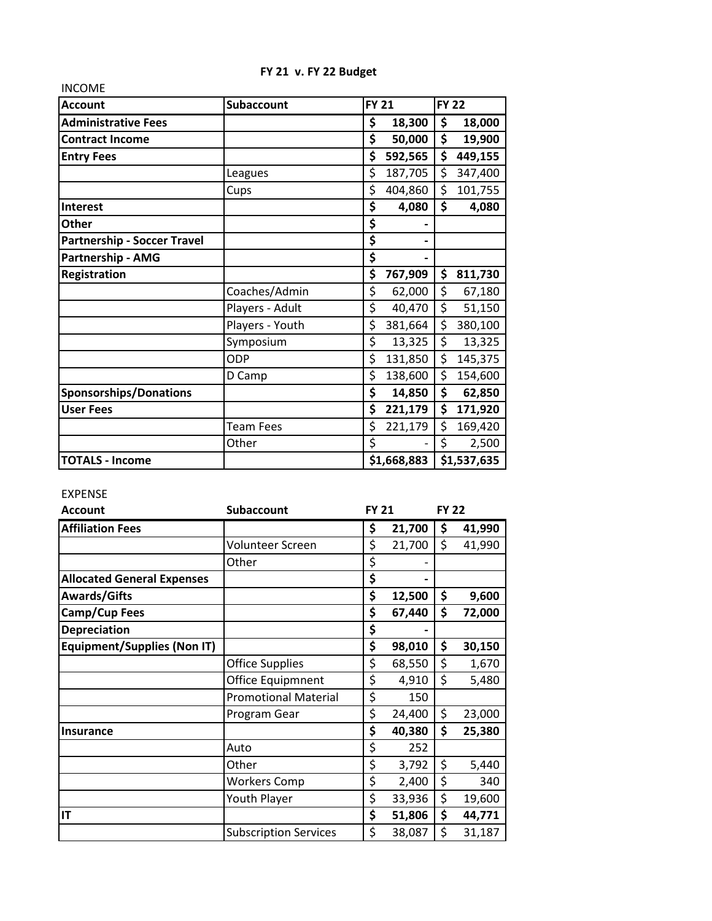| <b>INCOME</b>                      |                   |               |    |              |  |
|------------------------------------|-------------------|---------------|----|--------------|--|
| <b>Account</b>                     | <b>Subaccount</b> | <b>FY 21</b>  |    | <b>FY 22</b> |  |
| <b>Administrative Fees</b>         |                   | \$<br>18,300  | \$ | 18,000       |  |
| <b>Contract Income</b>             |                   | \$<br>50,000  | \$ | 19,900       |  |
| <b>Entry Fees</b>                  |                   | \$<br>592,565 | \$ | 449,155      |  |
|                                    | Leagues           | \$<br>187,705 | \$ | 347,400      |  |
|                                    | Cups              | \$<br>404,860 | \$ | 101,755      |  |
| <b>Interest</b>                    |                   | \$<br>4,080   | \$ | 4,080        |  |
| <b>Other</b>                       |                   | \$            |    |              |  |
| <b>Partnership - Soccer Travel</b> |                   | \$            |    |              |  |
| Partnership - AMG                  |                   | \$            |    |              |  |
| Registration                       |                   | \$<br>767,909 | \$ | 811,730      |  |
|                                    | Coaches/Admin     | \$<br>62,000  | \$ | 67,180       |  |
|                                    | Players - Adult   | \$<br>40,470  | \$ | 51,150       |  |
|                                    | Players - Youth   | \$<br>381,664 | \$ | 380,100      |  |
|                                    | Symposium         | \$<br>13,325  | \$ | 13,325       |  |
|                                    | ODP               | \$<br>131,850 | \$ | 145,375      |  |
|                                    | D Camp            | \$<br>138,600 | \$ | 154,600      |  |
| <b>Sponsorships/Donations</b>      |                   | \$<br>14,850  | \$ | 62,850       |  |
| <b>User Fees</b>                   |                   | \$<br>221,179 | \$ | 171,920      |  |
|                                    | <b>Team Fees</b>  | \$<br>221,179 | \$ | 169,420      |  |
|                                    | Other             | \$            | \$ | 2,500        |  |
| <b>TOTALS - Income</b>             |                   | \$1,668,883   |    | \$1,537,635  |  |

## **FY 21 v. FY 22 Budget**

## EXPENSE

| <b>Account</b>                     | <b>Subaccount</b>            | <b>FY 21</b> |    | <b>FY 22</b> |  |
|------------------------------------|------------------------------|--------------|----|--------------|--|
| <b>Affiliation Fees</b>            |                              | \$<br>21,700 | \$ | 41,990       |  |
|                                    | Volunteer Screen             | \$<br>21,700 | \$ | 41,990       |  |
|                                    | Other                        | \$           |    |              |  |
| <b>Allocated General Expenses</b>  |                              | \$           |    |              |  |
| <b>Awards/Gifts</b>                |                              | \$<br>12,500 | \$ | 9,600        |  |
| Camp/Cup Fees                      |                              | \$<br>67,440 | \$ | 72,000       |  |
| <b>Depreciation</b>                |                              | \$           |    |              |  |
| <b>Equipment/Supplies (Non IT)</b> |                              | \$<br>98,010 | \$ | 30,150       |  |
|                                    | <b>Office Supplies</b>       | \$<br>68,550 | \$ | 1,670        |  |
|                                    | Office Equipmnent            | \$<br>4,910  | \$ | 5,480        |  |
|                                    | <b>Promotional Material</b>  | \$<br>150    |    |              |  |
|                                    | Program Gear                 | \$<br>24,400 | \$ | 23,000       |  |
| <b>Insurance</b>                   |                              | \$<br>40,380 | \$ | 25,380       |  |
|                                    | Auto                         | \$<br>252    |    |              |  |
|                                    | Other                        | \$<br>3,792  | \$ | 5,440        |  |
|                                    | <b>Workers Comp</b>          | \$<br>2,400  | \$ | 340          |  |
|                                    | Youth Player                 | \$<br>33,936 | \$ | 19,600       |  |
| IT                                 |                              | \$<br>51,806 | \$ | 44,771       |  |
|                                    | <b>Subscription Services</b> | \$<br>38,087 | \$ | 31,187       |  |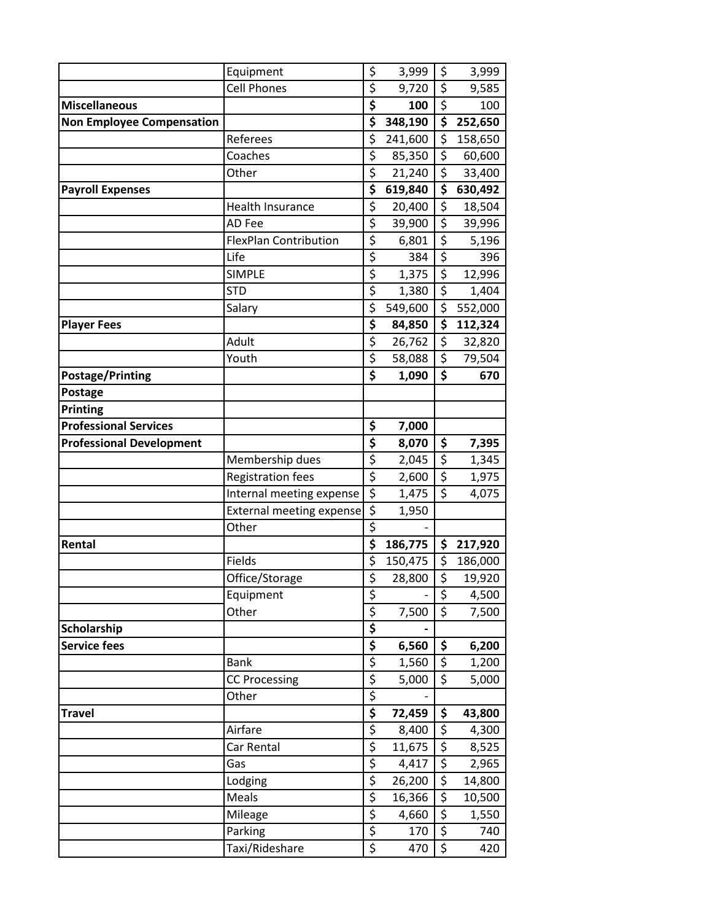|                                  | Equipment                       | \$                     | 3,999   | \$                                  | 3,999   |
|----------------------------------|---------------------------------|------------------------|---------|-------------------------------------|---------|
|                                  | <b>Cell Phones</b>              | \$                     | 9,720   | \$                                  | 9,585   |
| <b>Miscellaneous</b>             |                                 | \$                     | 100     | \$                                  | 100     |
| <b>Non Employee Compensation</b> |                                 | \$                     | 348,190 | \$                                  | 252,650 |
|                                  | Referees                        | \$                     | 241,600 | \$                                  | 158,650 |
|                                  | Coaches                         | \$                     | 85,350  | \$                                  | 60,600  |
|                                  | Other                           | \$                     | 21,240  | $\overline{\boldsymbol{\varsigma}}$ | 33,400  |
| <b>Payroll Expenses</b>          |                                 | \$                     | 619,840 | \$                                  | 630,492 |
|                                  | <b>Health Insurance</b>         | \$                     | 20,400  | \$                                  | 18,504  |
|                                  | AD Fee                          | \$                     | 39,900  | $\overline{\boldsymbol{\zeta}}$     | 39,996  |
|                                  | <b>FlexPlan Contribution</b>    | \$                     | 6,801   | \$                                  | 5,196   |
|                                  | Life                            | \$                     | 384     | \$                                  | 396     |
|                                  | <b>SIMPLE</b>                   | \$                     | 1,375   | \$                                  | 12,996  |
|                                  | <b>STD</b>                      | \$                     | 1,380   | \$                                  | 1,404   |
|                                  | Salary                          | \$                     | 549,600 | \$                                  | 552,000 |
| <b>Player Fees</b>               |                                 | \$                     | 84,850  | \$                                  | 112,324 |
|                                  | Adult                           | \$                     | 26,762  | \$                                  | 32,820  |
|                                  | Youth                           | \$                     | 58,088  | \$                                  | 79,504  |
| <b>Postage/Printing</b>          |                                 | \$                     | 1,090   | \$                                  | 670     |
| Postage                          |                                 |                        |         |                                     |         |
| Printing                         |                                 |                        |         |                                     |         |
| <b>Professional Services</b>     |                                 | \$                     | 7,000   |                                     |         |
| <b>Professional Development</b>  |                                 | \$                     | 8,070   | \$                                  | 7,395   |
|                                  | Membership dues                 | \$                     | 2,045   | $\overline{\varsigma}$              | 1,345   |
|                                  | <b>Registration fees</b>        | \$                     | 2,600   | \$                                  | 1,975   |
|                                  | Internal meeting expense        | $\overline{\xi}$       | 1,475   | $\overline{\xi}$                    | 4,075   |
|                                  | <b>External meeting expense</b> | \$                     | 1,950   |                                     |         |
|                                  | Other                           | \$                     |         |                                     |         |
| Rental                           |                                 | \$                     | 186,775 | \$                                  | 217,920 |
|                                  | Fields                          | \$                     | 150,475 | \$                                  | 186,000 |
|                                  | Office/Storage                  | $\overline{\varsigma}$ | 28,800  | \$                                  | 19,920  |
|                                  | Equipment                       | \$                     |         | \$                                  | 4,500   |
|                                  | Other                           | $\overline{\xi}$       | 7,500   | $\overline{\xi}$                    | 7,500   |
| Scholarship                      |                                 | \$                     |         |                                     |         |
| <b>Service fees</b>              |                                 | \$                     | 6,560   | \$                                  | 6,200   |
|                                  | <b>Bank</b>                     | \$                     | 1,560   | \$                                  | 1,200   |
|                                  | <b>CC Processing</b>            | \$                     | 5,000   | \$                                  | 5,000   |
|                                  | Other                           | \$                     |         |                                     |         |
| <b>Travel</b>                    |                                 | \$                     | 72,459  | \$                                  | 43,800  |
|                                  | Airfare                         | \$                     | 8,400   | \$                                  | 4,300   |
|                                  | Car Rental                      | \$                     | 11,675  | \$                                  | 8,525   |
|                                  | Gas                             | \$                     | 4,417   | $\overline{\boldsymbol{\zeta}}$     | 2,965   |
|                                  | Lodging                         | \$                     | 26,200  | $\overline{\boldsymbol{\zeta}}$     | 14,800  |
|                                  | Meals                           | $\overline{\varsigma}$ | 16,366  | \$                                  | 10,500  |
|                                  | Mileage                         | \$                     | 4,660   | $\overline{\xi}$                    | 1,550   |
|                                  | Parking                         | \$                     | 170     | \$                                  | 740     |
|                                  | Taxi/Rideshare                  | \$                     | 470     | \$                                  | 420     |